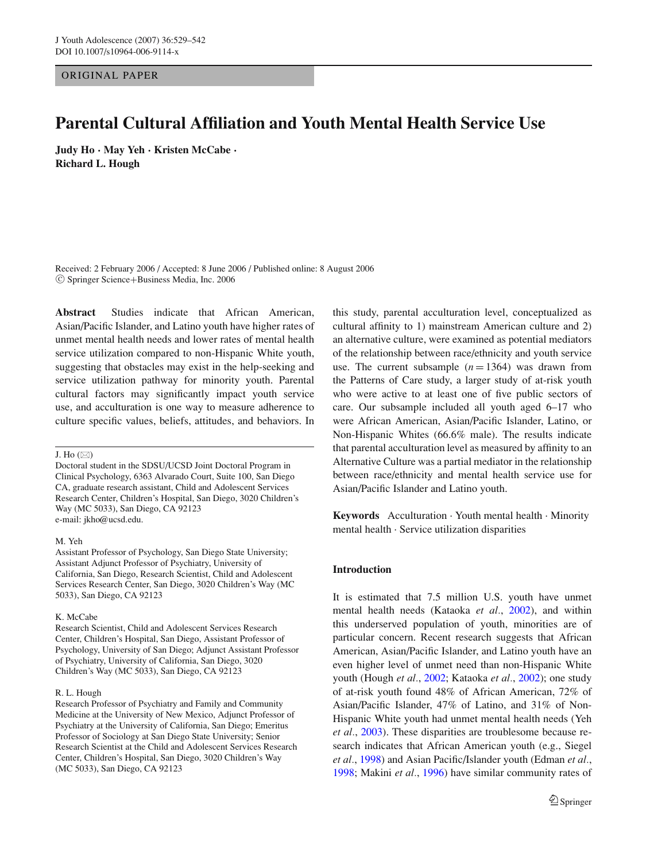ORIGINAL PAPER

# **Parental Cultural Affiliation and Youth Mental Health Service Use**

**Judy Ho** · **May Yeh** · **Kristen McCabe** · **Richard L. Hough**

Received: 2 February 2006 / Accepted: 8 June 2006 / Published online: 8 August 2006 ⃝<sup>C</sup> Springer Science+Business Media, Inc. 2006

**Abstract** Studies indicate that African American, Asian/Pacific Islander, and Latino youth have higher rates of unmet mental health needs and lower rates of mental health service utilization compared to non-Hispanic White youth, suggesting that obstacles may exist in the help-seeking and service utilization pathway for minority youth. Parental cultural factors may significantly impact youth service use, and acculturation is one way to measure adherence to culture specific values, beliefs, attitudes, and behaviors. In

#### J. Ho  $(\boxtimes)$

Doctoral student in the SDSU/UCSD Joint Doctoral Program in Clinical Psychology, 6363 Alvarado Court, Suite 100, San Diego CA, graduate research assistant, Child and Adolescent Services Research Center, Children's Hospital, San Diego, 3020 Children's Way (MC 5033), San Diego, CA 92123 e-mail: jkho@ucsd.edu.

#### M. Yeh

Assistant Professor of Psychology, San Diego State University; Assistant Adjunct Professor of Psychiatry, University of California, San Diego, Research Scientist, Child and Adolescent Services Research Center, San Diego, 3020 Children's Way (MC 5033), San Diego, CA 92123

#### K. McCabe

Research Scientist, Child and Adolescent Services Research Center, Children's Hospital, San Diego, Assistant Professor of Psychology, University of San Diego; Adjunct Assistant Professor of Psychiatry, University of California, San Diego, 3020 Children's Way (MC 5033), San Diego, CA 92123

#### R. L. Hough

Research Professor of Psychiatry and Family and Community Medicine at the University of New Mexico, Adjunct Professor of Psychiatry at the University of California, San Diego; Emeritus Professor of Sociology at San Diego State University; Senior Research Scientist at the Child and Adolescent Services Research Center, Children's Hospital, San Diego, 3020 Children's Way (MC 5033), San Diego, CA 92123

this study, parental acculturation level, conceptualized as cultural affinity to 1) mainstream American culture and 2) an alternative culture, were examined as potential mediators of the relationship between race/ethnicity and youth service use. The current subsample  $(n = 1364)$  was drawn from the Patterns of Care study, a larger study of at-risk youth who were active to at least one of five public sectors of care. Our subsample included all youth aged 6–17 who were African American, Asian/Pacific Islander, Latino, or Non-Hispanic Whites (66.6% male). The results indicate that parental acculturation level as measured by affinity to an Alternative Culture was a partial mediator in the relationship between race/ethnicity and mental health service use for Asian/Pacific Islander and Latino youth.

**Keywords** Acculturation . Youth mental health . Minority mental health . Service utilization disparities

#### **Introduction**

It is estimated that 7.5 million U.S. youth have unmet mental health needs (Kataoka *et al.*, [2002\)](#page-12-0), and within this underserved population of youth, minorities are of particular concern. Recent research suggests that African American, Asian/Pacific Islander, and Latino youth have an even higher level of unmet need than non-Hispanic White youth (Hough *et al.*, [2002;](#page-12-1) Kataoka *et al.*, [2002\)](#page-12-0); one study of at-risk youth found 48% of African American, 72% of Asian/Pacific Islander, 47% of Latino, and 31% of Non-Hispanic White youth had unmet mental health needs (Yeh *et al.*, [2003\)](#page-13-0). These disparities are troublesome because research indicates that African American youth (e.g., Siegel *et al.*, [1998\)](#page-12-2) and Asian Pacific/Islander youth (Edman *et al.*, [1998;](#page-12-3) Makini *et al.*, [1996\)](#page-12-4) have similar community rates of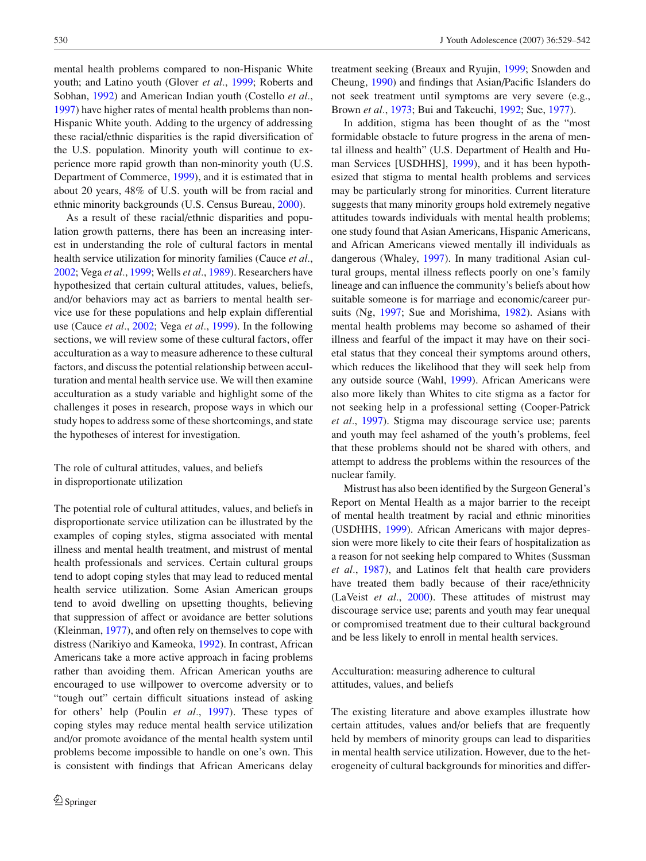mental health problems compared to non-Hispanic White youth; and Latino youth (Glover *et al.*, [1999;](#page-12-5) Roberts and Sobhan, [1992\)](#page-12-6) and American Indian youth (Costello *et al.*, [1997\)](#page-11-0) have higher rates of mental health problems than non-Hispanic White youth. Adding to the urgency of addressing these racial/ethnic disparities is the rapid diversification of the U.S. population. Minority youth will continue to experience more rapid growth than non-minority youth (U.S. Department of Commerce, [1999\)](#page-13-1), and it is estimated that in about 20 years, 48% of U.S. youth will be from racial and ethnic minority backgrounds (U.S. Census Bureau, [2000\)](#page-13-2).

As a result of these racial/ethnic disparities and population growth patterns, there has been an increasing interest in understanding the role of cultural factors in mental health service utilization for minority families (Cauce *et al.*, [2002;](#page-11-1) Vega *et al.*, [1999;](#page-13-3) Wells *et al.*, [1989\)](#page-13-4). Researchers have hypothesized that certain cultural attitudes, values, beliefs, and/or behaviors may act as barriers to mental health service use for these populations and help explain differential use (Cauce *et al.*, [2002;](#page-11-1) Vega *et al.*, [1999\)](#page-13-3). In the following sections, we will review some of these cultural factors, offer acculturation as a way to measure adherence to these cultural factors, and discuss the potential relationship between acculturation and mental health service use. We will then examine acculturation as a study variable and highlight some of the challenges it poses in research, propose ways in which our study hopes to address some of these shortcomings, and state the hypotheses of interest for investigation.

The role of cultural attitudes, values, and beliefs in disproportionate utilization

The potential role of cultural attitudes, values, and beliefs in disproportionate service utilization can be illustrated by the examples of coping styles, stigma associated with mental illness and mental health treatment, and mistrust of mental health professionals and services. Certain cultural groups tend to adopt coping styles that may lead to reduced mental health service utilization. Some Asian American groups tend to avoid dwelling on upsetting thoughts, believing that suppression of affect or avoidance are better solutions (Kleinman, [1977\)](#page-12-7), and often rely on themselves to cope with distress (Narikiyo and Kameoka, [1992\)](#page-12-8). In contrast, African Americans take a more active approach in facing problems rather than avoiding them. African American youths are encouraged to use willpower to overcome adversity or to "tough out" certain difficult situations instead of asking for others' help (Poulin *et al.*, [1997\)](#page-12-9). These types of coping styles may reduce mental health service utilization and/or promote avoidance of the mental health system until problems become impossible to handle on one's own. This is consistent with findings that African Americans delay

treatment seeking (Breaux and Ryujin, [1999;](#page-11-2) Snowden and Cheung, [1990\)](#page-12-10) and findings that Asian/Pacific Islanders do not seek treatment until symptoms are very severe (e.g., Brown *et al.*, [1973;](#page-11-3) Bui and Takeuchi, [1992;](#page-11-4) Sue, [1977\)](#page-12-11).

In addition, stigma has been thought of as the "most formidable obstacle to future progress in the arena of mental illness and health" (U.S. Department of Health and Human Services [USDHHS], [1999\)](#page-13-5), and it has been hypothesized that stigma to mental health problems and services may be particularly strong for minorities. Current literature suggests that many minority groups hold extremely negative attitudes towards individuals with mental health problems; one study found that Asian Americans, Hispanic Americans, and African Americans viewed mentally ill individuals as dangerous (Whaley, [1997\)](#page-13-6). In many traditional Asian cultural groups, mental illness reflects poorly on one's family lineage and can influence the community's beliefs about how suitable someone is for marriage and economic/career pursuits (Ng, [1997;](#page-12-12) Sue and Morishima, [1982\)](#page-12-13). Asians with mental health problems may become so ashamed of their illness and fearful of the impact it may have on their societal status that they conceal their symptoms around others, which reduces the likelihood that they will seek help from any outside source (Wahl, [1999\)](#page-13-7). African Americans were also more likely than Whites to cite stigma as a factor for not seeking help in a professional setting (Cooper-Patrick *et al.*, [1997\)](#page-11-5). Stigma may discourage service use; parents and youth may feel ashamed of the youth's problems, feel that these problems should not be shared with others, and attempt to address the problems within the resources of the nuclear family.

Mistrust has also been identified by the Surgeon General's Report on Mental Health as a major barrier to the receipt of mental health treatment by racial and ethnic minorities (USDHHS, [1999\)](#page-13-5). African Americans with major depression were more likely to cite their fears of hospitalization as a reason for not seeking help compared to Whites (Sussman *et al.*, [1987\)](#page-12-14), and Latinos felt that health care providers have treated them badly because of their race/ethnicity (LaVeist *et al.*, [2000\)](#page-12-15). These attitudes of mistrust may discourage service use; parents and youth may fear unequal or compromised treatment due to their cultural background and be less likely to enroll in mental health services.

Acculturation: measuring adherence to cultural attitudes, values, and beliefs

The existing literature and above examples illustrate how certain attitudes, values and/or beliefs that are frequently held by members of minority groups can lead to disparities in mental health service utilization. However, due to the heterogeneity of cultural backgrounds for minorities and differ-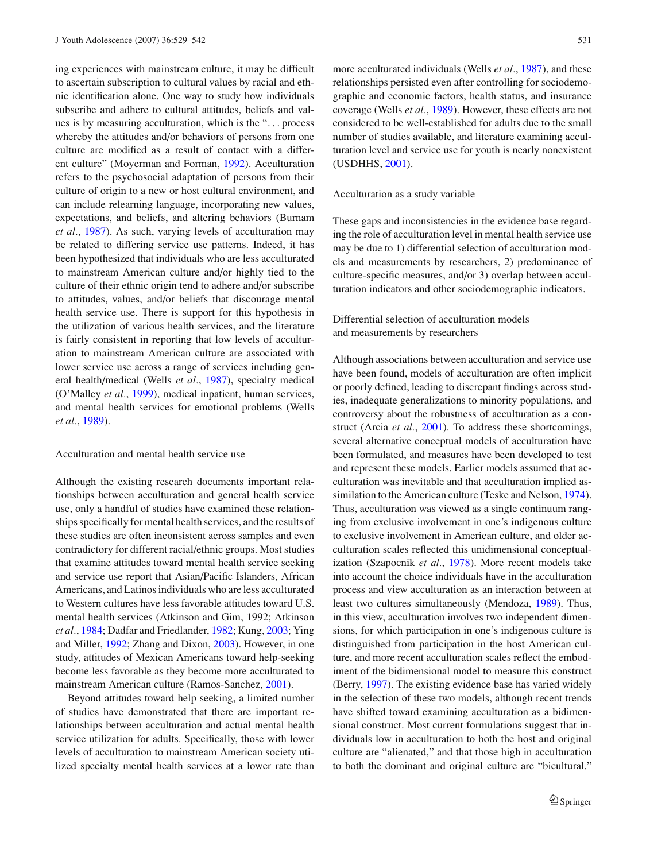ing experiences with mainstream culture, it may be difficult to ascertain subscription to cultural values by racial and ethnic identification alone. One way to study how individuals subscribe and adhere to cultural attitudes, beliefs and values is by measuring acculturation, which is the "... process whereby the attitudes and/or behaviors of persons from one culture are modified as a result of contact with a different culture" (Moyerman and Forman, [1992\)](#page-12-16). Acculturation refers to the psychosocial adaptation of persons from their culture of origin to a new or host cultural environment, and can include relearning language, incorporating new values, expectations, and beliefs, and altering behaviors (Burnam *et al.*, [1987\)](#page-11-6). As such, varying levels of acculturation may be related to differing service use patterns. Indeed, it has been hypothesized that individuals who are less acculturated to mainstream American culture and/or highly tied to the culture of their ethnic origin tend to adhere and/or subscribe to attitudes, values, and/or beliefs that discourage mental health service use. There is support for this hypothesis in the utilization of various health services, and the literature is fairly consistent in reporting that low levels of acculturation to mainstream American culture are associated with lower service use across a range of services including general health/medical (Wells *et al.*, [1987\)](#page-13-8), specialty medical (O'Malley *et al.*, [1999\)](#page-12-17), medical inpatient, human services, and mental health services for emotional problems (Wells *et al.*, [1989\)](#page-13-4).

## Acculturation and mental health service use

Although the existing research documents important relationships between acculturation and general health service use, only a handful of studies have examined these relationships specifically for mental health services, and the results of these studies are often inconsistent across samples and even contradictory for different racial/ethnic groups. Most studies that examine attitudes toward mental health service seeking and service use report that Asian/Pacific Islanders, African Americans, and Latinos individuals who are less acculturated to Western cultures have less favorable attitudes toward U.S. mental health services (Atkinson and Gim, 1992; Atkinson *et al.*, [1984;](#page-11-7) Dadfar and Friedlander, [1982;](#page-11-8) Kung, [2003;](#page-12-18) Ying and Miller, [1992;](#page-13-9) Zhang and Dixon, [2003\)](#page-13-10). However, in one study, attitudes of Mexican Americans toward help-seeking become less favorable as they become more acculturated to mainstream American culture (Ramos-Sanchez, [2001\)](#page-12-19).

Beyond attitudes toward help seeking, a limited number of studies have demonstrated that there are important relationships between acculturation and actual mental health service utilization for adults. Specifically, those with lower levels of acculturation to mainstream American society utilized specialty mental health services at a lower rate than more acculturated individuals (Wells *et al.*, [1987\)](#page-13-8), and these relationships persisted even after controlling for sociodemographic and economic factors, health status, and insurance coverage (Wells *et al.*, [1989\)](#page-13-4). However, these effects are not considered to be well-established for adults due to the small number of studies available, and literature examining acculturation level and service use for youth is nearly nonexistent (USDHHS, [2001\)](#page-13-11).

#### Acculturation as a study variable

These gaps and inconsistencies in the evidence base regarding the role of acculturation level in mental health service use may be due to 1) differential selection of acculturation models and measurements by researchers, 2) predominance of culture-specific measures, and/or 3) overlap between acculturation indicators and other sociodemographic indicators.

# Differential selection of acculturation models and measurements by researchers

Although associations between acculturation and service use have been found, models of acculturation are often implicit or poorly defined, leading to discrepant findings across studies, inadequate generalizations to minority populations, and controversy about the robustness of acculturation as a construct (Arcia *et al.*, [2001\)](#page-11-9). To address these shortcomings, several alternative conceptual models of acculturation have been formulated, and measures have been developed to test and represent these models. Earlier models assumed that acculturation was inevitable and that acculturation implied assimilation to the American culture (Teske and Nelson, [1974\)](#page-13-12). Thus, acculturation was viewed as a single continuum ranging from exclusive involvement in one's indigenous culture to exclusive involvement in American culture, and older acculturation scales reflected this unidimensional conceptualization (Szapocnik *et al.*, [1978\)](#page-12-20). More recent models take into account the choice individuals have in the acculturation process and view acculturation as an interaction between at least two cultures simultaneously (Mendoza, [1989\)](#page-12-21). Thus, in this view, acculturation involves two independent dimensions, for which participation in one's indigenous culture is distinguished from participation in the host American culture, and more recent acculturation scales reflect the embodiment of the bidimensional model to measure this construct (Berry, [1997\)](#page-11-10). The existing evidence base has varied widely in the selection of these two models, although recent trends have shifted toward examining acculturation as a bidimensional construct. Most current formulations suggest that individuals low in acculturation to both the host and original culture are "alienated," and that those high in acculturation to both the dominant and original culture are "bicultural."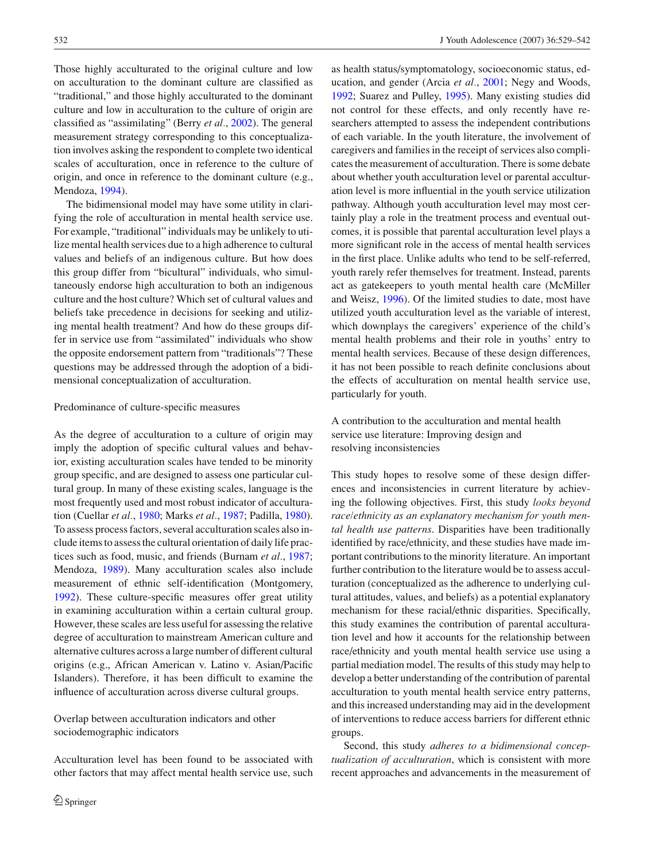Those highly acculturated to the original culture and low on acculturation to the dominant culture are classified as "traditional," and those highly acculturated to the dominant culture and low in acculturation to the culture of origin are classified as "assimilating" (Berry *et al.*, [2002\)](#page-11-11). The general measurement strategy corresponding to this conceptualization involves asking the respondent to complete two identical scales of acculturation, once in reference to the culture of origin, and once in reference to the dominant culture (e.g., Mendoza, [1994\)](#page-12-22).

The bidimensional model may have some utility in clarifying the role of acculturation in mental health service use. For example, "traditional" individuals may be unlikely to utilize mental health services due to a high adherence to cultural values and beliefs of an indigenous culture. But how does this group differ from "bicultural" individuals, who simultaneously endorse high acculturation to both an indigenous culture and the host culture? Which set of cultural values and beliefs take precedence in decisions for seeking and utilizing mental health treatment? And how do these groups differ in service use from "assimilated" individuals who show the opposite endorsement pattern from "traditionals"? These questions may be addressed through the adoption of a bidimensional conceptualization of acculturation.

### Predominance of culture-specific measures

As the degree of acculturation to a culture of origin may imply the adoption of specific cultural values and behavior, existing acculturation scales have tended to be minority group specific, and are designed to assess one particular cultural group. In many of these existing scales, language is the most frequently used and most robust indicator of acculturation (Cuellar *et al.*, [1980;](#page-11-12) Marks *et al.*, [1987;](#page-12-23) Padilla, [1980\)](#page-12-24). To assess process factors, several acculturation scales also include items to assess the cultural orientation of daily life practices such as food, music, and friends (Burnam *et al.*, [1987;](#page-11-6) Mendoza, [1989\)](#page-12-21). Many acculturation scales also include measurement of ethnic self-identification (Montgomery, [1992\)](#page-12-25). These culture-specific measures offer great utility in examining acculturation within a certain cultural group. However, these scales are less useful for assessing the relative degree of acculturation to mainstream American culture and alternative cultures across a large number of different cultural origins (e.g., African American v. Latino v. Asian/Pacific Islanders). Therefore, it has been difficult to examine the influence of acculturation across diverse cultural groups.

Overlap between acculturation indicators and other sociodemographic indicators

Acculturation level has been found to be associated with other factors that may affect mental health service use, such as health status/symptomatology, socioeconomic status, education, and gender (Arcia *et al.*, [2001;](#page-11-9) Negy and Woods, [1992;](#page-12-26) Suarez and Pulley, [1995\)](#page-12-27). Many existing studies did not control for these effects, and only recently have researchers attempted to assess the independent contributions of each variable. In the youth literature, the involvement of caregivers and families in the receipt of services also complicates the measurement of acculturation. There is some debate about whether youth acculturation level or parental acculturation level is more influential in the youth service utilization pathway. Although youth acculturation level may most certainly play a role in the treatment process and eventual outcomes, it is possible that parental acculturation level plays a more significant role in the access of mental health services in the first place. Unlike adults who tend to be self-referred, youth rarely refer themselves for treatment. Instead, parents act as gatekeepers to youth mental health care (McMiller and Weisz, [1996\)](#page-12-28). Of the limited studies to date, most have utilized youth acculturation level as the variable of interest, which downplays the caregivers' experience of the child's mental health problems and their role in youths' entry to mental health services. Because of these design differences, it has not been possible to reach definite conclusions about the effects of acculturation on mental health service use, particularly for youth.

A contribution to the acculturation and mental health service use literature: Improving design and resolving inconsistencies

This study hopes to resolve some of these design differences and inconsistencies in current literature by achieving the following objectives. First, this study *looks beyond race/ethnicity as an explanatory mechanism for youth mental health use patterns*. Disparities have been traditionally identified by race/ethnicity, and these studies have made important contributions to the minority literature. An important further contribution to the literature would be to assess acculturation (conceptualized as the adherence to underlying cultural attitudes, values, and beliefs) as a potential explanatory mechanism for these racial/ethnic disparities. Specifically, this study examines the contribution of parental acculturation level and how it accounts for the relationship between race/ethnicity and youth mental health service use using a partial mediation model. The results of this study may help to develop a better understanding of the contribution of parental acculturation to youth mental health service entry patterns, and this increased understanding may aid in the development of interventions to reduce access barriers for different ethnic groups.

Second, this study *adheres to a bidimensional conceptualization of acculturation*, which is consistent with more recent approaches and advancements in the measurement of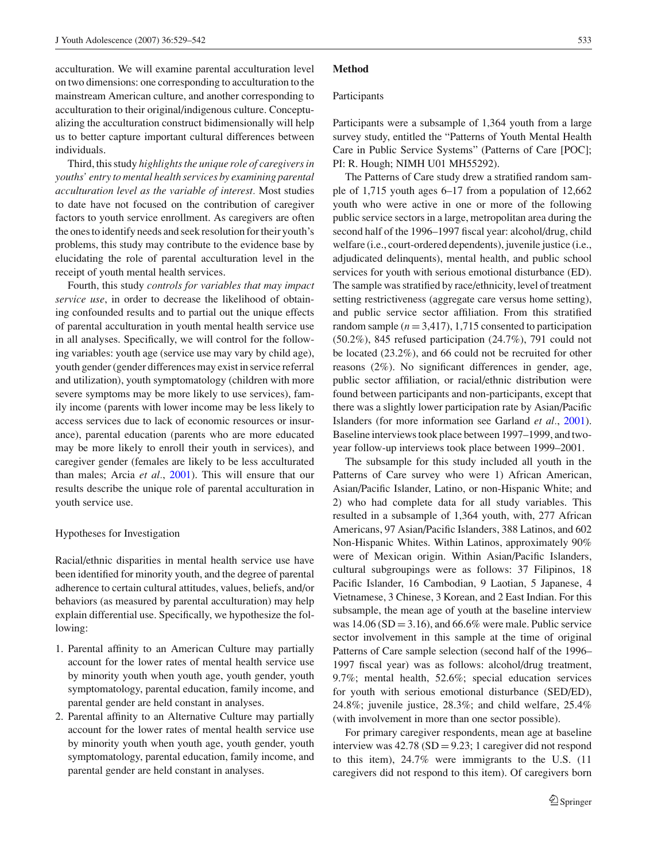acculturation. We will examine parental acculturation level on two dimensions: one corresponding to acculturation to the mainstream American culture, and another corresponding to acculturation to their original/indigenous culture. Conceptualizing the acculturation construct bidimensionally will help us to better capture important cultural differences between individuals.

Third, this study *highlights the unique role of caregivers in youths' entry to mental health services by examining parental acculturation level as the variable of interest.* Most studies to date have not focused on the contribution of caregiver factors to youth service enrollment. As caregivers are often the ones to identify needs and seek resolution for their youth's problems, this study may contribute to the evidence base by elucidating the role of parental acculturation level in the receipt of youth mental health services.

Fourth, this study *controls for variables that may impact service use*, in order to decrease the likelihood of obtaining confounded results and to partial out the unique effects of parental acculturation in youth mental health service use in all analyses. Specifically, we will control for the following variables: youth age (service use may vary by child age), youth gender (gender differences may exist in service referral and utilization), youth symptomatology (children with more severe symptoms may be more likely to use services), family income (parents with lower income may be less likely to access services due to lack of economic resources or insurance), parental education (parents who are more educated may be more likely to enroll their youth in services), and caregiver gender (females are likely to be less acculturated than males; Arcia *et al.*, [2001\)](#page-11-9). This will ensure that our results describe the unique role of parental acculturation in youth service use.

#### Hypotheses for Investigation

Racial/ethnic disparities in mental health service use have been identified for minority youth, and the degree of parental adherence to certain cultural attitudes, values, beliefs, and/or behaviors (as measured by parental acculturation) may help explain differential use. Specifically, we hypothesize the following:

- 1. Parental affinity to an American Culture may partially account for the lower rates of mental health service use by minority youth when youth age, youth gender, youth symptomatology, parental education, family income, and parental gender are held constant in analyses.
- 2. Parental affinity to an Alternative Culture may partially account for the lower rates of mental health service use by minority youth when youth age, youth gender, youth symptomatology, parental education, family income, and parental gender are held constant in analyses.

### **Method**

#### Participants

Participants were a subsample of 1,364 youth from a large survey study, entitled the "Patterns of Youth Mental Health Care in Public Service Systems" (Patterns of Care [POC]; PI: R. Hough; NIMH U01 MH55292).

The Patterns of Care study drew a stratified random sample of 1,715 youth ages 6–17 from a population of 12,662 youth who were active in one or more of the following public service sectors in a large, metropolitan area during the second half of the 1996–1997 fiscal year: alcohol/drug, child welfare (i.e., court-ordered dependents), juvenile justice (i.e., adjudicated delinquents), mental health, and public school services for youth with serious emotional disturbance (ED). The sample was stratified by race/ethnicity, level of treatment setting restrictiveness (aggregate care versus home setting), and public service sector affiliation. From this stratified random sample  $(n = 3, 417)$ , 1,715 consented to participation (50.2%), 845 refused participation (24.7%), 791 could not be located (23.2%), and 66 could not be recruited for other reasons (2%). No significant differences in gender, age, public sector affiliation, or racial/ethnic distribution were found between participants and non-participants, except that there was a slightly lower participation rate by Asian/Pacific Islanders (for more information see Garland *et al.*, [2001\)](#page-12-29). Baseline interviews took place between 1997–1999, and twoyear follow-up interviews took place between 1999–2001.

The subsample for this study included all youth in the Patterns of Care survey who were 1) African American, Asian/Pacific Islander, Latino, or non-Hispanic White; and 2) who had complete data for all study variables. This resulted in a subsample of 1,364 youth, with, 277 African Americans, 97 Asian/Pacific Islanders, 388 Latinos, and 602 Non-Hispanic Whites. Within Latinos, approximately 90% were of Mexican origin. Within Asian/Pacific Islanders, cultural subgroupings were as follows: 37 Filipinos, 18 Pacific Islander, 16 Cambodian, 9 Laotian, 5 Japanese, 4 Vietnamese, 3 Chinese, 3 Korean, and 2 East Indian. For this subsample, the mean age of youth at the baseline interview was  $14.06$  (SD = 3.16), and 66.6% were male. Public service sector involvement in this sample at the time of original Patterns of Care sample selection (second half of the 1996– 1997 fiscal year) was as follows: alcohol/drug treatment, 9.7%; mental health, 52.6%; special education services for youth with serious emotional disturbance (SED/ED), 24.8%; juvenile justice, 28.3%; and child welfare, 25.4% (with involvement in more than one sector possible).

For primary caregiver respondents, mean age at baseline interview was  $42.78$  (SD = 9.23; 1 caregiver did not respond to this item), 24.7% were immigrants to the U.S. (11 caregivers did not respond to this item). Of caregivers born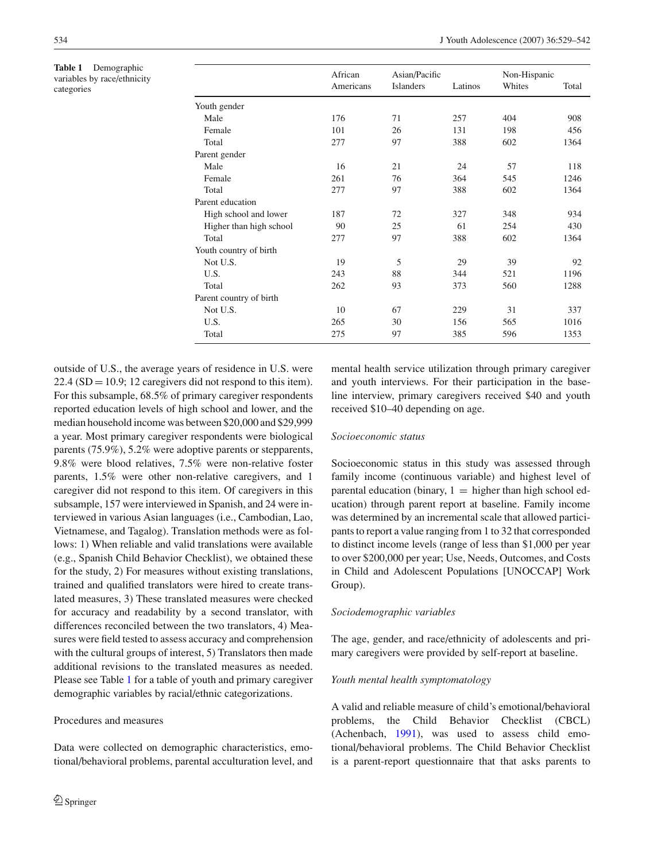<span id="page-5-0"></span>**Table 1** Demographic variables by race/ethnicity categories

|                         | African   | Asian/Pacific    |         | Non-Hispanic |       |
|-------------------------|-----------|------------------|---------|--------------|-------|
|                         | Americans | <b>Islanders</b> | Latinos | Whites       | Total |
| Youth gender            |           |                  |         |              |       |
| Male                    | 176       | 71               | 257     | 404          | 908   |
| Female                  | 101       | 26               | 131     | 198          | 456   |
| Total                   | 277       | 97               | 388     | 602          | 1364  |
| Parent gender           |           |                  |         |              |       |
| Male                    | 16        | 21               | 24      | 57           | 118   |
| Female                  | 261       | 76               | 364     | 545          | 1246  |
| Total                   | 277       | 97               | 388     | 602          | 1364  |
| Parent education        |           |                  |         |              |       |
| High school and lower   | 187       | 72               | 327     | 348          | 934   |
| Higher than high school | 90        | 25               | 61      | 254          | 430   |
| Total                   | 277       | 97               | 388     | 602          | 1364  |
| Youth country of birth  |           |                  |         |              |       |
| Not U.S.                | 19        | 5                | 29      | 39           | 92    |
| U.S.                    | 243       | 88               | 344     | 521          | 1196  |
| Total                   | 262       | 93               | 373     | 560          | 1288  |
| Parent country of birth |           |                  |         |              |       |
| Not U.S.                | 10        | 67               | 229     | 31           | 337   |
| U.S.                    | 265       | 30               | 156     | 565          | 1016  |
| Total                   | 275       | 97               | 385     | 596          | 1353  |

outside of U.S., the average years of residence in U.S. were  $22.4$  (SD = 10.9; 12 caregivers did not respond to this item). For this subsample, 68.5% of primary caregiver respondents reported education levels of high school and lower, and the median household income was between \$20,000 and \$29,999 a year. Most primary caregiver respondents were biological parents (75.9%), 5.2% were adoptive parents or stepparents, 9.8% were blood relatives, 7.5% were non-relative foster parents, 1.5% were other non-relative caregivers, and 1 caregiver did not respond to this item. Of caregivers in this subsample, 157 were interviewed in Spanish, and 24 were interviewed in various Asian languages (i.e., Cambodian, Lao, Vietnamese, and Tagalog). Translation methods were as follows: 1) When reliable and valid translations were available (e.g., Spanish Child Behavior Checklist), we obtained these for the study, 2) For measures without existing translations, trained and qualified translators were hired to create translated measures, 3) These translated measures were checked for accuracy and readability by a second translator, with differences reconciled between the two translators, 4) Measures were field tested to assess accuracy and comprehension with the cultural groups of interest, 5) Translators then made additional revisions to the translated measures as needed. Please see Table [1](#page-5-0) for a table of youth and primary caregiver demographic variables by racial/ethnic categorizations.

# Procedures and measures

Data were collected on demographic characteristics, emotional/behavioral problems, parental acculturation level, and mental health service utilization through primary caregiver and youth interviews. For their participation in the baseline interview, primary caregivers received \$40 and youth received \$10–40 depending on age.

## *Socioeconomic status*

Socioeconomic status in this study was assessed through family income (continuous variable) and highest level of parental education (binary,  $1 =$  higher than high school education) through parent report at baseline. Family income was determined by an incremental scale that allowed participants to report a value ranging from 1 to 32 that corresponded to distinct income levels (range of less than \$1,000 per year to over \$200,000 per year; Use, Needs, Outcomes, and Costs in Child and Adolescent Populations [UNOCCAP] Work Group).

# *Sociodemographic variables*

The age, gender, and race/ethnicity of adolescents and primary caregivers were provided by self-report at baseline.

# *Youth mental health symptomatology*

A valid and reliable measure of child's emotional/behavioral problems, the Child Behavior Checklist (CBCL) (Achenbach, [1991\)](#page-11-13), was used to assess child emotional/behavioral problems. The Child Behavior Checklist is a parent-report questionnaire that that asks parents to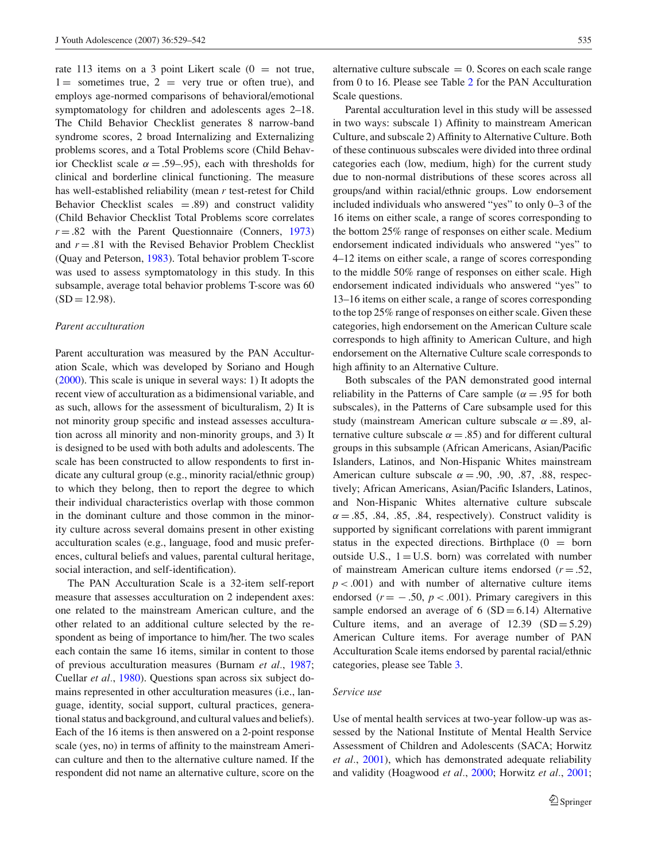rate 113 items on a 3 point Likert scale  $(0 =$  not true,  $1 =$  sometimes true,  $2 =$  very true or often true), and employs age-normed comparisons of behavioral/emotional symptomatology for children and adolescents ages 2–18. The Child Behavior Checklist generates 8 narrow-band syndrome scores, 2 broad Internalizing and Externalizing problems scores, and a Total Problems score (Child Behavior Checklist scale  $\alpha = .59-.95$ , each with thresholds for clinical and borderline clinical functioning. The measure has well-established reliability (mean *r* test-retest for Child Behavior Checklist scales  $= .89$ ) and construct validity (Child Behavior Checklist Total Problems score correlates  $r = .82$  with the Parent Questionnaire (Conners, [1973\)](#page-11-14) and  $r = .81$  with the Revised Behavior Problem Checklist (Quay and Peterson, [1983\)](#page-12-30). Total behavior problem T-score was used to assess symptomatology in this study. In this subsample, average total behavior problems T-score was 60  $(SD = 12.98)$ .

#### *Parent acculturation*

Parent acculturation was measured by the PAN Acculturation Scale, which was developed by Soriano and Hough [\(2000\)](#page-12-31). This scale is unique in several ways: 1) It adopts the recent view of acculturation as a bidimensional variable, and as such, allows for the assessment of biculturalism, 2) It is not minority group specific and instead assesses acculturation across all minority and non-minority groups, and 3) It is designed to be used with both adults and adolescents. The scale has been constructed to allow respondents to first indicate any cultural group (e.g., minority racial/ethnic group) to which they belong, then to report the degree to which their individual characteristics overlap with those common in the dominant culture and those common in the minority culture across several domains present in other existing acculturation scales (e.g., language, food and music preferences, cultural beliefs and values, parental cultural heritage, social interaction, and self-identification).

The PAN Acculturation Scale is a 32-item self-report measure that assesses acculturation on 2 independent axes: one related to the mainstream American culture, and the other related to an additional culture selected by the respondent as being of importance to him/her. The two scales each contain the same 16 items, similar in content to those of previous acculturation measures (Burnam *et al.*, [1987;](#page-11-6) Cuellar *et al.*, [1980\)](#page-11-12). Questions span across six subject domains represented in other acculturation measures (i.e., language, identity, social support, cultural practices, generational status and background, and cultural values and beliefs). Each of the 16 items is then answered on a 2-point response scale (yes, no) in terms of affinity to the mainstream American culture and then to the alternative culture named. If the respondent did not name an alternative culture, score on the

alternative culture subscale  $= 0$ . Scores on each scale range from 0 to 16. Please see Table [2](#page-7-0) for the PAN Acculturation Scale questions.

Parental acculturation level in this study will be assessed in two ways: subscale 1) Affinity to mainstream American Culture, and subscale 2) Affinity to Alternative Culture. Both of these continuous subscales were divided into three ordinal categories each (low, medium, high) for the current study due to non-normal distributions of these scores across all groups/and within racial/ethnic groups. Low endorsement included individuals who answered "yes" to only 0–3 of the 16 items on either scale, a range of scores corresponding to the bottom 25% range of responses on either scale. Medium endorsement indicated individuals who answered "yes" to 4–12 items on either scale, a range of scores corresponding to the middle 50% range of responses on either scale. High endorsement indicated individuals who answered "yes" to 13–16 items on either scale, a range of scores corresponding to the top 25% range of responses on either scale. Given these categories, high endorsement on the American Culture scale corresponds to high affinity to American Culture, and high endorsement on the Alternative Culture scale corresponds to high affinity to an Alternative Culture.

Both subscales of the PAN demonstrated good internal reliability in the Patterns of Care sample ( $\alpha = .95$  for both subscales), in the Patterns of Care subsample used for this study (mainstream American culture subscale  $\alpha = .89$ , alternative culture subscale  $\alpha = .85$ ) and for different cultural groups in this subsample (African Americans, Asian/Pacific Islanders, Latinos, and Non-Hispanic Whites mainstream American culture subscale  $\alpha = .90, .90, .87, .88,$  respectively; African Americans, Asian/Pacific Islanders, Latinos, and Non-Hispanic Whites alternative culture subscale  $\alpha = .85, .84, .85, .84, respectively.$  Construct validity is supported by significant correlations with parent immigrant status in the expected directions. Birthplace  $(0 = \text{born})$ outside U.S.,  $1 = U.S.$  born) was correlated with number of mainstream American culture items endorsed  $(r = .52)$ ,  $p < .001$ ) and with number of alternative culture items endorsed ( $r = -.50$ ,  $p < .001$ ). Primary caregivers in this sample endorsed an average of 6  $(SD = 6.14)$  Alternative Culture items, and an average of  $12.39$  (SD =  $5.29$ ) American Culture items. For average number of PAN Acculturation Scale items endorsed by parental racial/ethnic categories, please see Table [3.](#page-7-1)

### *Service use*

Use of mental health services at two-year follow-up was assessed by the National Institute of Mental Health Service Assessment of Children and Adolescents (SACA; Horwitz *et al.*, [2001\)](#page-12-32), which has demonstrated adequate reliability and validity (Hoagwood *et al.*, [2000;](#page-12-33) Horwitz *et al.*, [2001;](#page-12-32)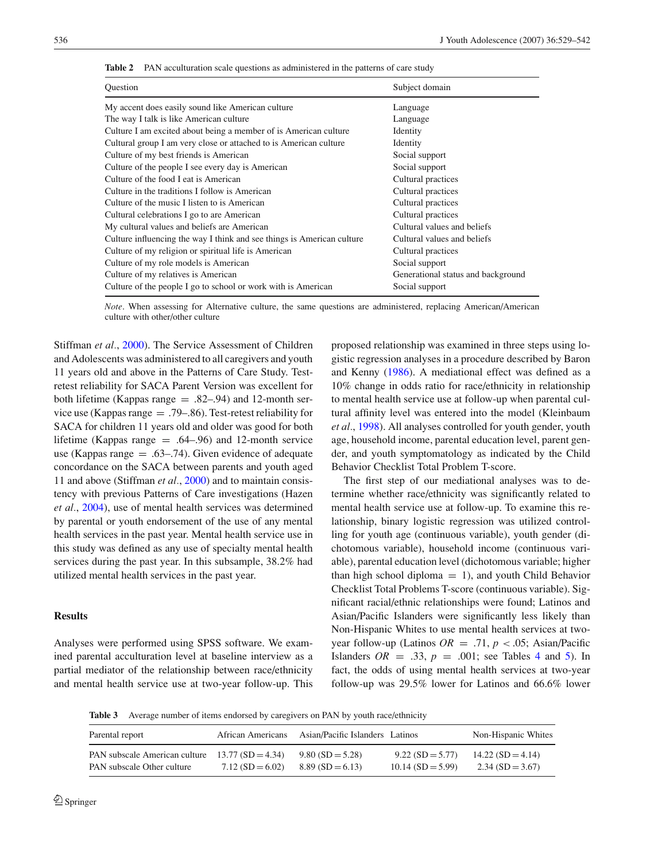<span id="page-7-0"></span>

| <b>Ouestion</b>                                                        | Subject domain                     |
|------------------------------------------------------------------------|------------------------------------|
| My accent does easily sound like American culture                      | Language                           |
| The way I talk is like American culture                                | Language                           |
| Culture I am excited about being a member of is American culture       | Identity                           |
| Cultural group I am very close or attached to is American culture      | Identity                           |
| Culture of my best friends is American                                 | Social support                     |
| Culture of the people I see every day is American                      | Social support                     |
| Culture of the food I eat is American                                  | Cultural practices                 |
| Culture in the traditions I follow is American                         | Cultural practices                 |
| Culture of the music I listen to is American                           | Cultural practices                 |
| Cultural celebrations I go to are American                             | Cultural practices                 |
| My cultural values and beliefs are American                            | Cultural values and beliefs        |
| Culture influencing the way I think and see things is American culture | Cultural values and beliefs        |
| Culture of my religion or spiritual life is American                   | Cultural practices                 |
| Culture of my role models is American                                  | Social support                     |
| Culture of my relatives is American                                    | Generational status and background |
| Culture of the people I go to school or work with is American          | Social support                     |

**Table 2** PAN acculturation scale questions as administered in the patterns of care study

*Note*. When assessing for Alternative culture, the same questions are administered, replacing American/American culture with other/other culture

Stiffman *et al.*, [2000\)](#page-12-34). The Service Assessment of Children and Adolescents was administered to all caregivers and youth 11 years old and above in the Patterns of Care Study. Testretest reliability for SACA Parent Version was excellent for both lifetime (Kappas range  $= .82-.94$ ) and 12-month service use (Kappas range  $= .79-.86$ ). Test-retest reliability for SACA for children 11 years old and older was good for both lifetime (Kappas range  $= .64-.96$ ) and 12-month service use (Kappas range  $= .63-.74$ ). Given evidence of adequate concordance on the SACA between parents and youth aged 11 and above (Stiffman *et al.*, [2000\)](#page-12-34) and to maintain consistency with previous Patterns of Care investigations (Hazen *et al.*, [2004\)](#page-12-35), use of mental health services was determined by parental or youth endorsement of the use of any mental health services in the past year. Mental health service use in this study was defined as any use of specialty mental health services during the past year. In this subsample, 38.2% had utilized mental health services in the past year.

## **Results**

<span id="page-7-1"></span>Analyses were performed using SPSS software. We examined parental acculturation level at baseline interview as a partial mediator of the relationship between race/ethnicity and mental health service use at two-year follow-up. This

proposed relationship was examined in three steps using logistic regression analyses in a procedure described by Baron and Kenny [\(1986\)](#page-11-15). A mediational effect was defined as a 10% change in odds ratio for race/ethnicity in relationship to mental health service use at follow-up when parental cultural affinity level was entered into the model (Kleinbaum *et al.*, [1998\)](#page-12-36). All analyses controlled for youth gender, youth age, household income, parental education level, parent gender, and youth symptomatology as indicated by the Child Behavior Checklist Total Problem T-score.

The first step of our mediational analyses was to determine whether race/ethnicity was significantly related to mental health service use at follow-up. To examine this relationship, binary logistic regression was utilized controlling for youth age (continuous variable), youth gender (dichotomous variable), household income (continuous variable), parental education level (dichotomous variable; higher than high school diploma  $= 1$ ), and youth Child Behavior Checklist Total Problems T-score (continuous variable). Significant racial/ethnic relationships were found; Latinos and Asian/Pacific Islanders were significantly less likely than Non-Hispanic Whites to use mental health services at twoyear follow-up (Latinos  $OR = .71$ ,  $p < .05$ ; Asian/Pacific Islanders  $OR = .33$ ,  $p = .001$ ; see Tables [4](#page-8-0) and [5\)](#page-8-1). In fact, the odds of using mental health services at two-year follow-up was 29.5% lower for Latinos and 66.6% lower

**Table 3** Average number of items endorsed by caregivers on PAN by youth race/ethnicity

| Parental report               | African Americans  | Asian/Pacific Islanders Latinos |                     | Non-Hispanic Whites |
|-------------------------------|--------------------|---------------------------------|---------------------|---------------------|
| PAN subscale American culture | $13.77(SD = 4.34)$ | $9.80(SD = 5.28)$               | $9.22(SD = 5.77)$   | $14.22(SD = 4.14)$  |
| PAN subscale Other culture    | $7.12(SD = 6.02)$  | $8.89(SD = 6.13)$               | $10.14$ (SD = 5.99) | $2.34(SD = 3.67)$   |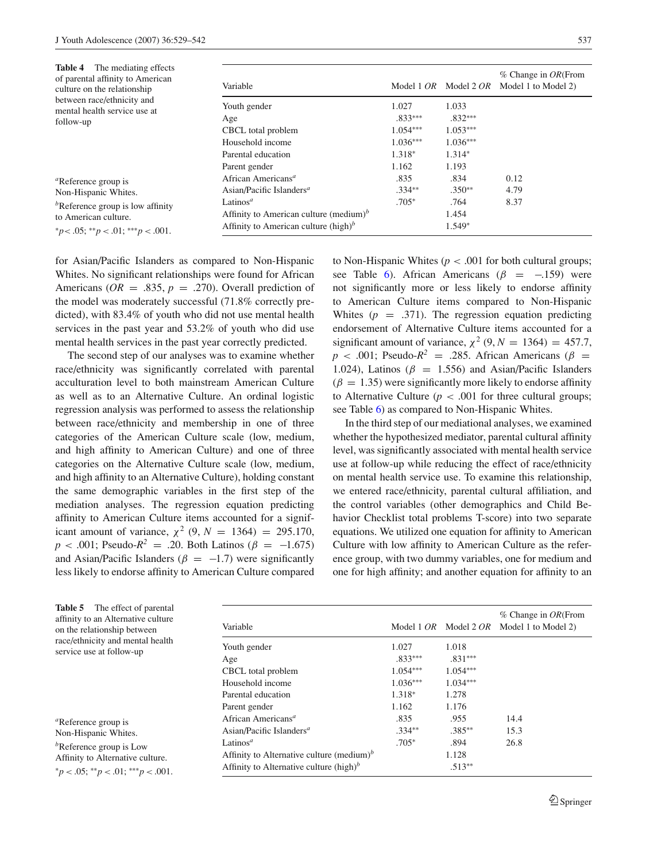<span id="page-8-0"></span>

| <b>Table 4</b><br>The mediating effects<br>of parental affinity to American<br>culture on the relationship<br>between race/ethnicity and<br>mental health service use at<br>follow-up | Variable                                                                                                                                                                                                        | Model 1 OR                                                        | Model 2 OR                                                          | $%$ Change in $OR$ (From<br>Model 1 to Model 2) |
|---------------------------------------------------------------------------------------------------------------------------------------------------------------------------------------|-----------------------------------------------------------------------------------------------------------------------------------------------------------------------------------------------------------------|-------------------------------------------------------------------|---------------------------------------------------------------------|-------------------------------------------------|
|                                                                                                                                                                                       | Youth gender<br>Age<br>CBCL total problem<br>Household income<br>Parental education<br>Parent gender                                                                                                            | 1.027<br>$.833***$<br>$1.054***$<br>$1.036***$<br>1.318*<br>1.162 | 1.033<br>$.832***$<br>$1.053***$<br>$1.036***$<br>$1.314*$<br>1.193 |                                                 |
| ${}^{\alpha}$ Reference group is<br>Non-Hispanic Whites.<br>$\mathrm{P}$ Reference group is low affinity<br>to American culture.<br>* $p < .05$ ; ** $p < .01$ ; *** $p < .001$ .     | African Americans <sup>a</sup><br>Asian/Pacific Islanders <sup><i>a</i></sup><br>Latinos <sup>a</sup><br>Affinity to American culture (medium) <sup>b</sup><br>Affinity to American culture (high) <sup>b</sup> | .835<br>$.334**$<br>$.705*$                                       | .834<br>$.350**$<br>.764<br>1.454<br>$1.549*$                       | 0.12<br>4.79<br>8.37                            |

for Asian/Pacific Islanders as compared to Non-Hispanic Whites. No significant relationships were found for African Americans ( $OR = .835$ ,  $p = .270$ ). Overall prediction of the model was moderately successful (71.8% correctly predicted), with 83.4% of youth who did not use mental health services in the past year and 53.2% of youth who did use mental health services in the past year correctly predicted.

The second step of our analyses was to examine whether race/ethnicity was significantly correlated with parental acculturation level to both mainstream American Culture as well as to an Alternative Culture. An ordinal logistic regression analysis was performed to assess the relationship between race/ethnicity and membership in one of three categories of the American Culture scale (low, medium, and high affinity to American Culture) and one of three categories on the Alternative Culture scale (low, medium, and high affinity to an Alternative Culture), holding constant the same demographic variables in the first step of the mediation analyses. The regression equation predicting affinity to American Culture items accounted for a significant amount of variance,  $\chi^2$  (9, *N* = 1364) = 295.170,  $p < .001$ ; Pseudo- $R^2$  = .20. Both Latinos ( $\beta$  = -1.675) and Asian/Pacific Islanders ( $\beta = -1.7$ ) were significantly less likely to endorse affinity to American Culture compared

to Non-Hispanic Whites ( $p < .001$  for both cultural groups; see Table [6\)](#page-9-0). African Americans ( $\beta = -159$ ) were not significantly more or less likely to endorse affinity to American Culture items compared to Non-Hispanic Whites  $(p = .371)$ . The regression equation predicting endorsement of Alternative Culture items accounted for a significant amount of variance,  $\chi^2$  (9, *N* = 1364) = 457.7,  $p \lt 0.001$ ; Pseudo- $R^2$  = .285. African Americans ( $\beta$  = 1.024), Latinos ( $\beta$  = 1.556) and Asian/Pacific Islanders  $(\beta = 1.35)$  were significantly more likely to endorse affinity to Alternative Culture ( $p < .001$  for three cultural groups; see Table [6\)](#page-9-0) as compared to Non-Hispanic Whites.

In the third step of our mediational analyses, we examined whether the hypothesized mediator, parental cultural affinity level, was significantly associated with mental health service use at follow-up while reducing the effect of race/ethnicity on mental health service use. To examine this relationship, we entered race/ethnicity, parental cultural affiliation, and the control variables (other demographics and Child Behavior Checklist total problems T-score) into two separate equations. We utilized one equation for affinity to American Culture with low affinity to American Culture as the reference group, with two dummy variables, one for medium and one for high affinity; and another equation for affinity to an

<span id="page-8-1"></span>

| <b>Table 5</b> The effect of parental<br>affinity to an Alternative culture<br>on the relationship between                                                                   | Variable                                                                                                                                                                                                                  |                                                                   | Model 1 OR Model 2 OR                                            | $%$ Change in $OR$ (From<br>Model 1 to Model 2) |
|------------------------------------------------------------------------------------------------------------------------------------------------------------------------------|---------------------------------------------------------------------------------------------------------------------------------------------------------------------------------------------------------------------------|-------------------------------------------------------------------|------------------------------------------------------------------|-------------------------------------------------|
| race/ethnicity and mental health<br>service use at follow-up                                                                                                                 | Youth gender<br>Age<br>CBCL total problem<br>Household income<br>Parental education<br>Parent gender                                                                                                                      | 1.027<br>$.833***$<br>$1.054***$<br>$1.036***$<br>1.318*<br>1.162 | 1.018<br>$.831***$<br>$1.054***$<br>$1.034***$<br>1.278<br>1.176 |                                                 |
| <sup>a</sup> Reference group is<br>Non-Hispanic Whites.<br>$b^b$ Reference group is Low<br>Affinity to Alternative culture.<br>* $p < .05$ ; ** $p < .01$ ; *** $p < .001$ . | African Americans <sup>a</sup><br>Asian/Pacific Islanders <sup><i>a</i></sup><br>Latinos <sup><math>a</math></sup><br>Affinity to Alternative culture (medium) <sup>b</sup><br>Affinity to Alternative culture $(high)^b$ | .835<br>$.334**$<br>$.705*$                                       | .955<br>$.385**$<br>.894<br>1.128<br>$.513**$                    | 14.4<br>15.3<br>26.8                            |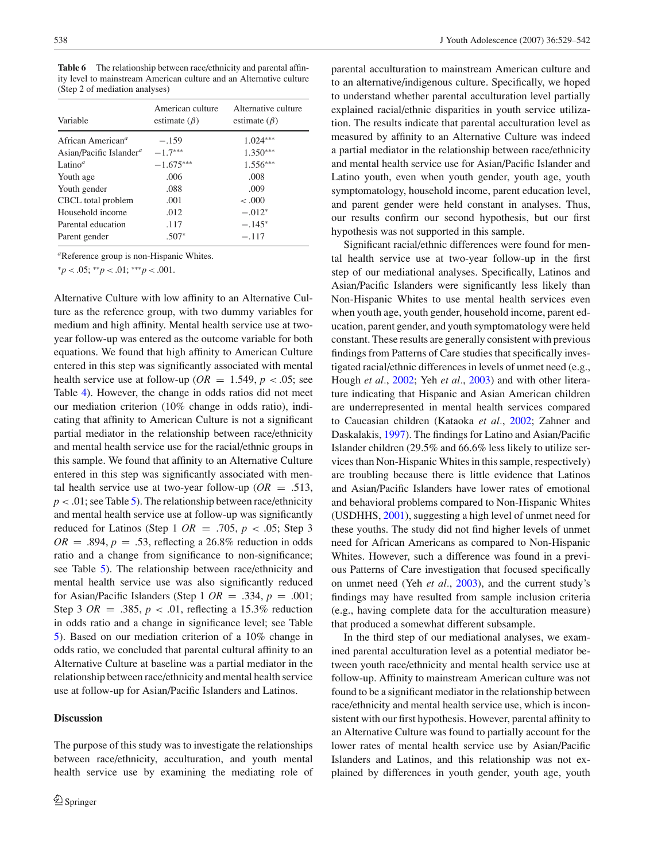<span id="page-9-0"></span>**Table 6** The relationship between race/ethnicity and parental affinity level to mainstream American culture and an Alternative culture (Step 2 of mediation analyses)

| Variable                                   | American culture<br>estimate $(\beta)$ | Alternative culture<br>estimate $(\beta)$ |
|--------------------------------------------|----------------------------------------|-------------------------------------------|
| African American <sup>a</sup>              | $-.159$                                | $1.024***$                                |
| Asian/Pacific Islander <sup><i>a</i></sup> | $-1.7***$                              | $1.350***$                                |
| Latino <sup><math>a</math></sup>           | $-1.675***$                            | $1.556***$                                |
| Youth age                                  | .006                                   | .008                                      |
| Youth gender                               | .088                                   | .009                                      |
| CBCL total problem                         | .001                                   | $-.000$                                   |
| Household income                           | .012                                   | $-.012*$                                  |
| Parental education                         | .117                                   | $-.145*$                                  |
| Parent gender                              | $.507*$                                | $-.117$                                   |

*<sup>a</sup>*Reference group is non-Hispanic Whites.

<sup>∗</sup>*p* < .05; ∗∗*p* < .01; ∗∗∗*p* < .001.

Alternative Culture with low affinity to an Alternative Culture as the reference group, with two dummy variables for medium and high affinity. Mental health service use at twoyear follow-up was entered as the outcome variable for both equations. We found that high affinity to American Culture entered in this step was significantly associated with mental health service use at follow-up ( $OR = 1.549$ ,  $p < .05$ ; see Table [4\)](#page-8-0). However, the change in odds ratios did not meet our mediation criterion (10% change in odds ratio), indicating that affinity to American Culture is not a significant partial mediator in the relationship between race/ethnicity and mental health service use for the racial/ethnic groups in this sample. We found that affinity to an Alternative Culture entered in this step was significantly associated with mental health service use at two-year follow-up ( $OR = .513$ ,  $p < .01$ ; see Table [5\)](#page-8-1). The relationship between race/ethnicity and mental health service use at follow-up was significantly reduced for Latinos (Step 1 *OR* = .705, *p* < .05; Step 3  $OR = .894$ ,  $p = .53$ , reflecting a 26.8% reduction in odds ratio and a change from significance to non-significance; see Table [5\)](#page-8-1). The relationship between race/ethnicity and mental health service use was also significantly reduced for Asian/Pacific Islanders (Step 1  $OR = .334$ ,  $p = .001$ ; Step 3  $OR = .385$ ,  $p < .01$ , reflecting a 15.3% reduction in odds ratio and a change in significance level; see Table [5\)](#page-8-1). Based on our mediation criterion of a 10% change in odds ratio, we concluded that parental cultural affinity to an Alternative Culture at baseline was a partial mediator in the relationship between race/ethnicity and mental health service use at follow-up for Asian/Pacific Islanders and Latinos.

# **Discussion**

The purpose of this study was to investigate the relationships between race/ethnicity, acculturation, and youth mental health service use by examining the mediating role of parental acculturation to mainstream American culture and to an alternative/indigenous culture. Specifically, we hoped to understand whether parental acculturation level partially explained racial/ethnic disparities in youth service utilization. The results indicate that parental acculturation level as measured by affinity to an Alternative Culture was indeed a partial mediator in the relationship between race/ethnicity and mental health service use for Asian/Pacific Islander and Latino youth, even when youth gender, youth age, youth symptomatology, household income, parent education level, and parent gender were held constant in analyses. Thus, our results confirm our second hypothesis, but our first hypothesis was not supported in this sample.

Significant racial/ethnic differences were found for mental health service use at two-year follow-up in the first step of our mediational analyses. Specifically, Latinos and Asian/Pacific Islanders were significantly less likely than Non-Hispanic Whites to use mental health services even when youth age, youth gender, household income, parent education, parent gender, and youth symptomatology were held constant. These results are generally consistent with previous findings from Patterns of Care studies that specifically investigated racial/ethnic differences in levels of unmet need (e.g., Hough *et al.*, [2002;](#page-12-1) Yeh *et al.*, [2003\)](#page-13-0) and with other literature indicating that Hispanic and Asian American children are underrepresented in mental health services compared to Caucasian children (Kataoka *et al.*, [2002;](#page-12-0) Zahner and Daskalakis, [1997\)](#page-13-13). The findings for Latino and Asian/Pacific Islander children (29.5% and 66.6% less likely to utilize services than Non-Hispanic Whites in this sample, respectively) are troubling because there is little evidence that Latinos and Asian/Pacific Islanders have lower rates of emotional and behavioral problems compared to Non-Hispanic Whites (USDHHS, [2001\)](#page-13-11), suggesting a high level of unmet need for these youths. The study did not find higher levels of unmet need for African Americans as compared to Non-Hispanic Whites. However, such a difference was found in a previous Patterns of Care investigation that focused specifically on unmet need (Yeh *et al.*, [2003\)](#page-13-0), and the current study's findings may have resulted from sample inclusion criteria (e.g., having complete data for the acculturation measure) that produced a somewhat different subsample.

In the third step of our mediational analyses, we examined parental acculturation level as a potential mediator between youth race/ethnicity and mental health service use at follow-up. Affinity to mainstream American culture was not found to be a significant mediator in the relationship between race/ethnicity and mental health service use, which is inconsistent with our first hypothesis. However, parental affinity to an Alternative Culture was found to partially account for the lower rates of mental health service use by Asian/Pacific Islanders and Latinos, and this relationship was not explained by differences in youth gender, youth age, youth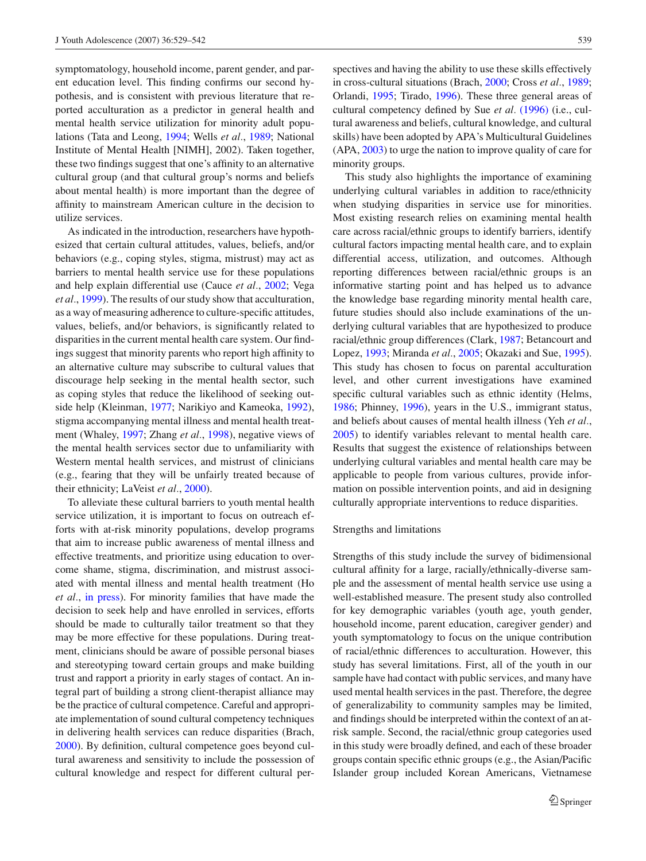symptomatology, household income, parent gender, and parent education level. This finding confirms our second hypothesis, and is consistent with previous literature that reported acculturation as a predictor in general health and mental health service utilization for minority adult populations (Tata and Leong, [1994;](#page-12-37) Wells *et al.*, [1989;](#page-13-4) National Institute of Mental Health [NIMH], 2002). Taken together, these two findings suggest that one's affinity to an alternative cultural group (and that cultural group's norms and beliefs about mental health) is more important than the degree of affinity to mainstream American culture in the decision to utilize services.

As indicated in the introduction, researchers have hypothesized that certain cultural attitudes, values, beliefs, and/or behaviors (e.g., coping styles, stigma, mistrust) may act as barriers to mental health service use for these populations and help explain differential use (Cauce *et al.*, [2002;](#page-11-1) Vega *et al.*, [1999\)](#page-13-3). The results of our study show that acculturation, as a way of measuring adherence to culture-specific attitudes, values, beliefs, and/or behaviors, is significantly related to disparities in the current mental health care system. Our findings suggest that minority parents who report high affinity to an alternative culture may subscribe to cultural values that discourage help seeking in the mental health sector, such as coping styles that reduce the likelihood of seeking outside help (Kleinman, [1977;](#page-12-7) Narikiyo and Kameoka, [1992\)](#page-12-8), stigma accompanying mental illness and mental health treatment (Whaley, [1997;](#page-13-6) Zhang *et al.*, [1998\)](#page-13-14), negative views of the mental health services sector due to unfamiliarity with Western mental health services, and mistrust of clinicians (e.g., fearing that they will be unfairly treated because of their ethnicity; LaVeist *et al.*, [2000\)](#page-12-15).

To alleviate these cultural barriers to youth mental health service utilization, it is important to focus on outreach efforts with at-risk minority populations, develop programs that aim to increase public awareness of mental illness and effective treatments, and prioritize using education to overcome shame, stigma, discrimination, and mistrust associated with mental illness and mental health treatment (Ho *et al.*, [in press\)](#page-12-38). For minority families that have made the decision to seek help and have enrolled in services, efforts should be made to culturally tailor treatment so that they may be more effective for these populations. During treatment, clinicians should be aware of possible personal biases and stereotyping toward certain groups and make building trust and rapport a priority in early stages of contact. An integral part of building a strong client-therapist alliance may be the practice of cultural competence. Careful and appropriate implementation of sound cultural competency techniques in delivering health services can reduce disparities (Brach, [2000\)](#page-11-16). By definition, cultural competence goes beyond cultural awareness and sensitivity to include the possession of cultural knowledge and respect for different cultural perspectives and having the ability to use these skills effectively in cross-cultural situations (Brach, [2000;](#page-11-16) Cross *et al.*, [1989;](#page-11-17) Orlandi, [1995;](#page-12-39) Tirado, [1996\)](#page-13-15). These three general areas of cultural competency defined by Sue *et al.* [\(1996\)](#page-12-40) (i.e., cultural awareness and beliefs, cultural knowledge, and cultural skills) have been adopted by APA's Multicultural Guidelines (APA, [2003\)](#page-11-18) to urge the nation to improve quality of care for minority groups.

This study also highlights the importance of examining underlying cultural variables in addition to race/ethnicity when studying disparities in service use for minorities. Most existing research relies on examining mental health care across racial/ethnic groups to identify barriers, identify cultural factors impacting mental health care, and to explain differential access, utilization, and outcomes. Although reporting differences between racial/ethnic groups is an informative starting point and has helped us to advance the knowledge base regarding minority mental health care, future studies should also include examinations of the underlying cultural variables that are hypothesized to produce racial/ethnic group differences (Clark, [1987;](#page-11-19) Betancourt and Lopez, [1993;](#page-11-20) Miranda *et al.*, [2005;](#page-12-41) Okazaki and Sue, [1995\)](#page-12-42). This study has chosen to focus on parental acculturation level, and other current investigations have examined specific cultural variables such as ethnic identity (Helms, [1986;](#page-12-43) Phinney, [1996\)](#page-12-44), years in the U.S., immigrant status, and beliefs about causes of mental health illness (Yeh *et al.*, [2005\)](#page-13-16) to identify variables relevant to mental health care. Results that suggest the existence of relationships between underlying cultural variables and mental health care may be applicable to people from various cultures, provide information on possible intervention points, and aid in designing culturally appropriate interventions to reduce disparities.

#### Strengths and limitations

Strengths of this study include the survey of bidimensional cultural affinity for a large, racially/ethnically-diverse sample and the assessment of mental health service use using a well-established measure. The present study also controlled for key demographic variables (youth age, youth gender, household income, parent education, caregiver gender) and youth symptomatology to focus on the unique contribution of racial/ethnic differences to acculturation. However, this study has several limitations. First, all of the youth in our sample have had contact with public services, and many have used mental health services in the past. Therefore, the degree of generalizability to community samples may be limited, and findings should be interpreted within the context of an atrisk sample. Second, the racial/ethnic group categories used in this study were broadly defined, and each of these broader groups contain specific ethnic groups (e.g., the Asian/Pacific Islander group included Korean Americans, Vietnamese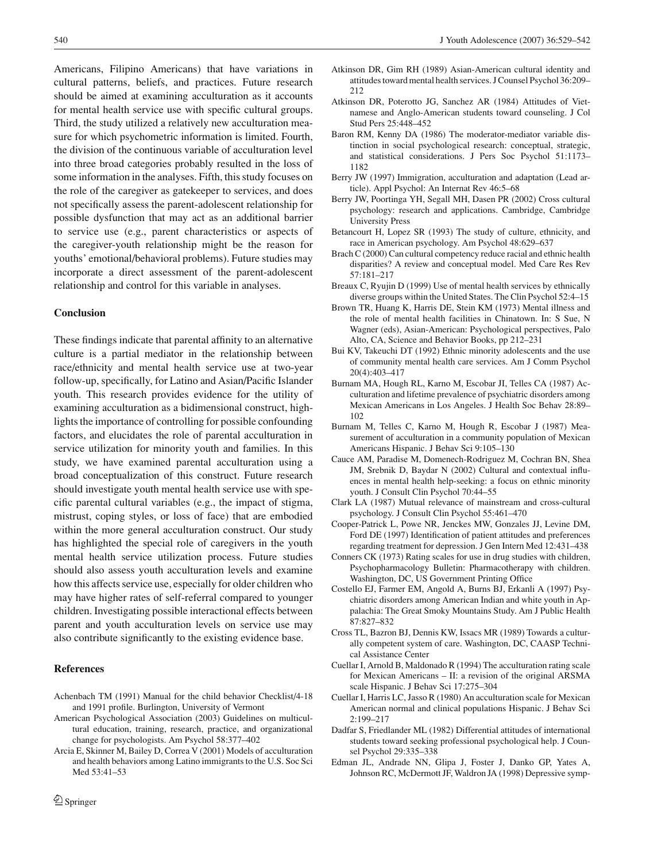Americans, Filipino Americans) that have variations in cultural patterns, beliefs, and practices. Future research should be aimed at examining acculturation as it accounts for mental health service use with specific cultural groups. Third, the study utilized a relatively new acculturation measure for which psychometric information is limited. Fourth, the division of the continuous variable of acculturation level into three broad categories probably resulted in the loss of some information in the analyses. Fifth, this study focuses on the role of the caregiver as gatekeeper to services, and does not specifically assess the parent-adolescent relationship for possible dysfunction that may act as an additional barrier to service use (e.g., parent characteristics or aspects of the caregiver-youth relationship might be the reason for youths' emotional/behavioral problems). Future studies may incorporate a direct assessment of the parent-adolescent relationship and control for this variable in analyses.

### **Conclusion**

These findings indicate that parental affinity to an alternative culture is a partial mediator in the relationship between race/ethnicity and mental health service use at two-year follow-up, specifically, for Latino and Asian/Pacific Islander youth. This research provides evidence for the utility of examining acculturation as a bidimensional construct, highlights the importance of controlling for possible confounding factors, and elucidates the role of parental acculturation in service utilization for minority youth and families. In this study, we have examined parental acculturation using a broad conceptualization of this construct. Future research should investigate youth mental health service use with specific parental cultural variables (e.g., the impact of stigma, mistrust, coping styles, or loss of face) that are embodied within the more general acculturation construct. Our study has highlighted the special role of caregivers in the youth mental health service utilization process. Future studies should also assess youth acculturation levels and examine how this affects service use, especially for older children who may have higher rates of self-referral compared to younger children. Investigating possible interactional effects between parent and youth acculturation levels on service use may also contribute significantly to the existing evidence base.

## **References**

- Achenbach TM (1991) Manual for the child behavior Checklist/4-18 and 1991 profile. Burlington, University of Vermont
- <span id="page-11-13"></span>American Psychological Association (2003) Guidelines on multicultural education, training, research, practice, and organizational change for psychologists. Am Psychol 58:377–402
- <span id="page-11-18"></span><span id="page-11-9"></span>Arcia E, Skinner M, Bailey D, Correa V (2001) Models of acculturation and health behaviors among Latino immigrants to the U.S. Soc Sci Med 53:41–53
- Atkinson DR, Gim RH (1989) Asian-American cultural identity and attitudes toward mental health services. J Counsel Psychol 36:209– 212
- Atkinson DR, Poterotto JG, Sanchez AR (1984) Attitudes of Vietnamese and Anglo-American students toward counseling. J Col Stud Pers 25:448–452
- <span id="page-11-7"></span>Baron RM, Kenny DA (1986) The moderator-mediator variable distinction in social psychological research: conceptual, strategic, and statistical considerations. J Pers Soc Psychol 51:1173– 1182
- <span id="page-11-15"></span>Berry JW (1997) Immigration, acculturation and adaptation (Lead article). Appl Psychol: An Internat Rev 46:5–68
- <span id="page-11-10"></span>Berry JW, Poortinga YH, Segall MH, Dasen PR (2002) Cross cultural psychology: research and applications. Cambridge, Cambridge University Press
- <span id="page-11-11"></span>Betancourt H, Lopez SR (1993) The study of culture, ethnicity, and race in American psychology. Am Psychol 48:629–637
- <span id="page-11-20"></span>Brach C (2000) Can cultural competency reduce racial and ethnic health disparities? A review and conceptual model. Med Care Res Rev 57:181–217
- <span id="page-11-16"></span>Breaux C, Ryujin D (1999) Use of mental health services by ethnically diverse groups within the United States. The Clin Psychol 52:4–15
- <span id="page-11-2"></span>Brown TR, Huang K, Harris DE, Stein KM (1973) Mental illness and the role of mental health facilities in Chinatown. In: S Sue, N Wagner (eds), Asian-American: Psychological perspectives, Palo Alto, CA, Science and Behavior Books, pp 212–231
- <span id="page-11-3"></span>Bui KV, Takeuchi DT (1992) Ethnic minority adolescents and the use of community mental health care services. Am J Comm Psychol 20(4):403–417
- <span id="page-11-4"></span>Burnam MA, Hough RL, Karno M, Escobar JI, Telles CA (1987) Acculturation and lifetime prevalence of psychiatric disorders among Mexican Americans in Los Angeles. J Health Soc Behav 28:89– 102
- <span id="page-11-6"></span>Burnam M, Telles C, Karno M, Hough R, Escobar J (1987) Measurement of acculturation in a community population of Mexican Americans Hispanic. J Behav Sci 9:105–130
- Cauce AM, Paradise M, Domenech-Rodriguez M, Cochran BN, Shea JM, Srebnik D, Baydar N (2002) Cultural and contextual influences in mental health help-seeking: a focus on ethnic minority youth. J Consult Clin Psychol 70:44–55
- <span id="page-11-1"></span>Clark LA (1987) Mutual relevance of mainstream and cross-cultural psychology. J Consult Clin Psychol 55:461–470
- <span id="page-11-19"></span>Cooper-Patrick L, Powe NR, Jenckes MW, Gonzales JJ, Levine DM, Ford DE (1997) Identification of patient attitudes and preferences regarding treatment for depression. J Gen Intern Med 12:431–438
- <span id="page-11-5"></span>Conners CK (1973) Rating scales for use in drug studies with children, Psychopharmacology Bulletin: Pharmacotherapy with children. Washington, DC, US Government Printing Office
- <span id="page-11-14"></span>Costello EJ, Farmer EM, Angold A, Burns BJ, Erkanli A (1997) Psychiatric disorders among American Indian and white youth in Appalachia: The Great Smoky Mountains Study. Am J Public Health 87:827–832
- <span id="page-11-0"></span>Cross TL, Bazron BJ, Dennis KW, Issacs MR (1989) Towards a culturally competent system of care. Washington, DC, CAASP Technical Assistance Center
- <span id="page-11-17"></span>Cuellar I, Arnold B, Maldonado R (1994) The acculturation rating scale for Mexican Americans – II: a revision of the original ARSMA scale Hispanic. J Behav Sci 17:275–304
- Cuellar I, Harris LC, Jasso R (1980) An acculturation scale for Mexican American normal and clinical populations Hispanic. J Behav Sci 2:199–217
- <span id="page-11-12"></span>Dadfar S, Friedlander ML (1982) Differential attitudes of international students toward seeking professional psychological help. J Counsel Psychol 29:335–338
- <span id="page-11-8"></span>Edman JL, Andrade NN, Glipa J, Foster J, Danko GP, Yates A, Johnson RC, McDermott JF, Waldron JA (1998) Depressive symp-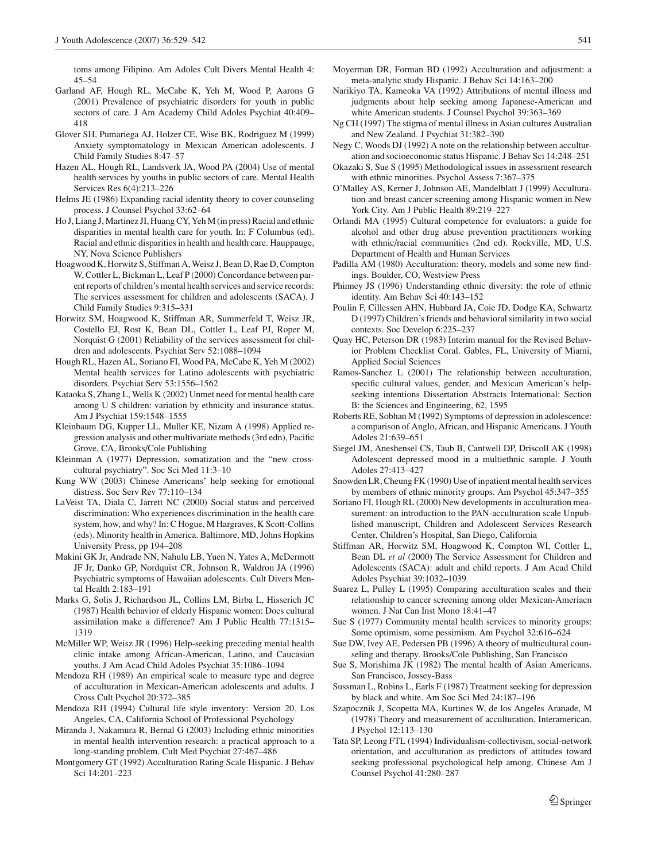toms among Filipino. Am Adoles Cult Divers Mental Health 4: 45–54

- <span id="page-12-3"></span>Garland AF, Hough RL, McCabe K, Yeh M, Wood P, Aarons G (2001) Prevalence of psychiatric disorders for youth in public sectors of care. J Am Academy Child Adoles Psychiat 40:409– 418
- <span id="page-12-29"></span>Glover SH, Pumariega AJ, Holzer CE, Wise BK, Rodriguez M (1999) Anxiety symptomatology in Mexican American adolescents. J Child Family Studies 8:47–57
- <span id="page-12-5"></span>Hazen AL, Hough RL, Landsverk JA, Wood PA (2004) Use of mental health services by youths in public sectors of care. Mental Health Services Res 6(4):213–226
- <span id="page-12-35"></span>Helms JE (1986) Expanding racial identity theory to cover counseling process. J Counsel Psychol 33:62–64
- <span id="page-12-43"></span>Ho J, Liang J, Martinez JI, Huang CY, Yeh M (in press) Racial and ethnic disparities in mental health care for youth. In: F Columbus (ed). Racial and ethnic disparities in health and health care. Hauppauge, NY, Nova Science Publishers
- <span id="page-12-38"></span>Hoagwood K, Horwitz S, Stiffman A, Weisz J, Bean D, Rae D, Compton W, Cottler L, Bickman L, Leaf P (2000) Concordance between parent reports of children's mental health services and service records: The services assessment for children and adolescents (SACA). J Child Family Studies 9:315–331
- <span id="page-12-33"></span>Horwitz SM, Hoagwood K, Stiffman AR, Summerfeld T, Weisz JR, Costello EJ, Rost K, Bean DL, Cottler L, Leaf PJ, Roper M, Norquist G (2001) Reliability of the services assessment for children and adolescents. Psychiat Serv 52:1088–1094
- <span id="page-12-32"></span>Hough RL, Hazen AL, Soriano FI, Wood PA, McCabe K, Yeh M (2002) Mental health services for Latino adolescents with psychiatric disorders. Psychiat Serv 53:1556–1562
- <span id="page-12-1"></span>Kataoka S, Zhang L, Wells K (2002) Unmet need for mental health care among U S children: variation by ethnicity and insurance status. Am J Psychiat 159:1548–1555
- <span id="page-12-0"></span>Kleinbaum DG, Kupper LL, Muller KE, Nizam A (1998) Applied regression analysis and other multivariate methods (3rd edn), Pacific Grove, CA, Brooks/Cole Publishing
- <span id="page-12-36"></span>Kleinman A (1977) Depression, somatization and the "new crosscultural psychiatry". Soc Sci Med 11:3–10
- <span id="page-12-7"></span>Kung WW (2003) Chinese Americans' help seeking for emotional distress. Soc Serv Rev 77:110–134
- <span id="page-12-18"></span>LaVeist TA, Diala C, Jarrett NC (2000) Social status and perceived discrimination: Who experiences discrimination in the health care system, how, and why? In: C Hogue, M Hargraves, K Scott-Collins (eds). Minority health in America. Baltimore, MD, Johns Hopkins University Press, pp 194–208
- <span id="page-12-15"></span>Makini GK Jr, Andrade NN, Nahulu LB, Yuen N, Yates A, McDermott JF Jr, Danko GP, Nordquist CR, Johnson R, Waldron JA (1996) Psychiatric symptoms of Hawaiian adolescents. Cult Divers Mental Health 2:183–191
- <span id="page-12-4"></span>Marks G, Solis J, Richardson JL, Collins LM, Birba L, Hisserich JC (1987) Health behavior of elderly Hispanic women: Does cultural assimilation make a difference? Am J Public Health 77:1315– 1319
- <span id="page-12-23"></span>McMiller WP, Weisz JR (1996) Help-seeking preceding mental health clinic intake among African-American, Latino, and Caucasian youths. J Am Acad Child Adoles Psychiat 35:1086–1094
- Mendoza RH (1989) An empirical scale to measure type and degree of acculturation in Mexican-American adolescents and adults. J Cross Cult Psychol 20:372–385
- <span id="page-12-21"></span>Mendoza RH (1994) Cultural life style inventory: Version 20. Los Angeles, CA, California School of Professional Psychology
- Miranda J, Nakamura R, Bernal G (2003) Including ethnic minorities in mental health intervention research: a practical approach to a long-standing problem. Cult Med Psychiat 27:467–486
- <span id="page-12-25"></span>Montgomery GT (1992) Acculturation Rating Scale Hispanic. J Behav Sci 14:201–223
- Moyerman DR, Forman BD (1992) Acculturation and adjustment: a meta-analytic study Hispanic. J Behav Sci 14:163–200
- <span id="page-12-16"></span>Narikiyo TA, Kameoka VA (1992) Attributions of mental illness and judgments about help seeking among Japanese-American and white American students. J Counsel Psychol 39:363–369
- <span id="page-12-8"></span>Ng CH (1997) The stigma of mental illness in Asian cultures Australian and New Zealand. J Psychiat 31:382–390
- <span id="page-12-12"></span>Negy C, Woods DJ (1992) A note on the relationship between acculturation and socioeconomic status Hispanic. J Behav Sci 14:248–251
- <span id="page-12-26"></span>Okazaki S, Sue S (1995) Methodological issues in assessment research with ethnic minorities. Psychol Assess 7:367–375
- <span id="page-12-42"></span>O'Malley AS, Kerner J, Johnson AE, Mandelblatt J (1999) Acculturation and breast cancer screening among Hispanic women in New York City. Am J Public Health 89:219–227
- <span id="page-12-17"></span>Orlandi MA (1995) Cultural competence for evaluators: a guide for alcohol and other drug abuse prevention practitioners working with ethnic/racial communities (2nd ed). Rockville, MD, U.S. Department of Health and Human Services
- <span id="page-12-39"></span>Padilla AM (1980) Acculturation: theory, models and some new findings. Boulder, CO, Westview Press
- <span id="page-12-24"></span>Phinney JS (1996) Understanding ethnic diversity: the role of ethnic identity. Am Behav Sci 40:143–152
- <span id="page-12-44"></span>Poulin F, Cillessen AHN, Hubbard JA, Coie JD, Dodge KA, Schwartz D (1997) Children's friends and behavioral similarity in two social contexts. Soc Develop 6:225–237
- <span id="page-12-9"></span>Quay HC, Peterson DR (1983) Interim manual for the Revised Behavior Problem Checklist Coral. Gables, FL, University of Miami, Applied Social Sciences
- <span id="page-12-30"></span>Ramos-Sanchez L (2001) The relationship between acculturation, specific cultural values, gender, and Mexican American's helpseeking intentions Dissertation Abstracts International: Section B: the Sciences and Engineering, 62, 1595
- <span id="page-12-19"></span>Roberts RE, Sobhan M (1992) Symptoms of depression in adolescence: a comparison of Anglo, African, and Hispanic Americans. J Youth Adoles 21:639–651
- <span id="page-12-6"></span>Siegel JM, Aneshensel CS, Taub B, Cantwell DP, Driscoll AK (1998) Adolescent depressed mood in a multiethnic sample. J Youth Adoles 27:413–427
- <span id="page-12-2"></span>Snowden LR, Cheung FK (1990) Use of inpatient mental health services by members of ethnic minority groups. Am Psychol 45:347–355
- <span id="page-12-10"></span>Soriano FI, Hough RL (2000) New developments in acculturation measurement: an introduction to the PAN-acculturation scale Unpublished manuscript, Children and Adolescent Services Research Center, Children's Hospital, San Diego, California
- <span id="page-12-31"></span>Stiffman AR, Horwitz SM, Hoagwood K, Compton WI, Cottler L, Bean DL *et al* (2000) The Service Assessment for Children and Adolescents (SACA): adult and child reports. J Am Acad Child Adoles Psychiat 39:1032–1039
- <span id="page-12-34"></span>Suarez L, Pulley L (1995) Comparing acculturation scales and their relationship to cancer screening among older Mexican-Ameriacn women. J Nat Can Inst Mono 18:41–47
- <span id="page-12-27"></span>Sue S (1977) Community mental health services to minority groups: Some optimism, some pessimism. Am Psychol 32:616–624
- <span id="page-12-11"></span>Sue DW, Ivey AE, Pedersen PB (1996) A theory of multicultural counseling and therapy. Brooks/Cole Publishing, San Francisco
- <span id="page-12-40"></span><span id="page-12-28"></span>Sue S, Morishima JK (1982) The mental health of Asian Americans. San Francisco, Jossey-Bass
- <span id="page-12-13"></span>Sussman L, Robins L, Earls F (1987) Treatment seeking for depression by black and white. Am Soc Sci Med 24:187–196
- <span id="page-12-14"></span>Szapocznik J, Scopetta MA, Kurtines W, de los Angeles Aranade, M (1978) Theory and measurement of acculturation. Interamerican. J Psychol 12:113–130
- <span id="page-12-41"></span><span id="page-12-37"></span><span id="page-12-22"></span><span id="page-12-20"></span>Tata SP, Leong FTL (1994) Individualism-collectivism, social-network orientation, and acculturation as predictors of attitudes toward seeking professional psychological help among. Chinese Am J Counsel Psychol 41:280–287